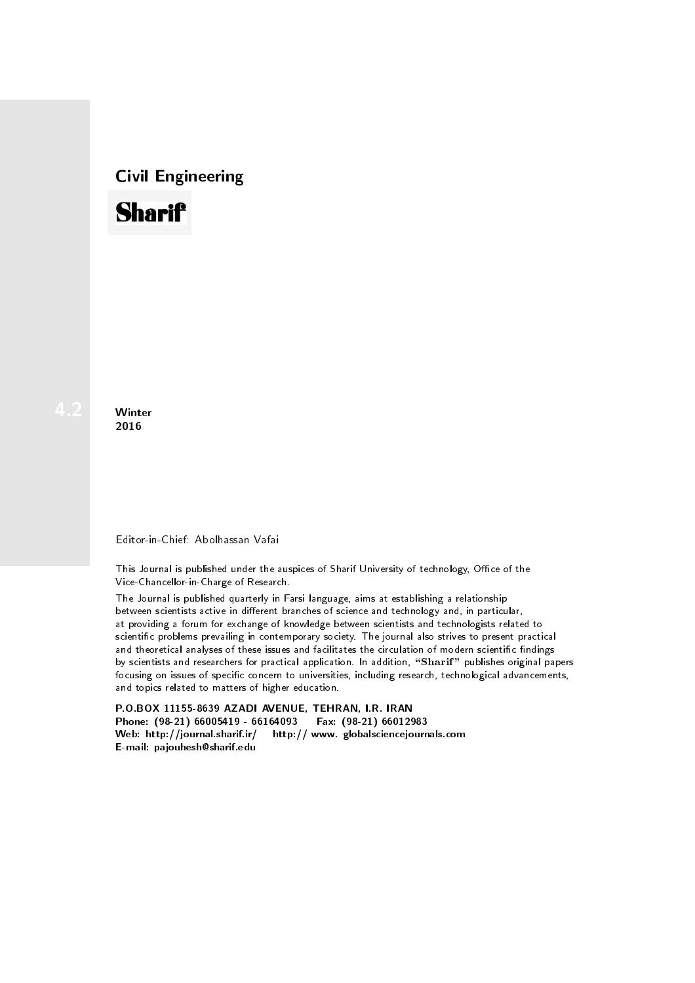## Civil Engineering



**Winter** 2016

## Editor-in-Chief: Abolhassan Vafai

This Journal is published under the auspices of Sharif University of technology, Office of the Vice-Chancellor-in-Charge of Research.

The Journal is published quarterly in Farsi language, aims at establishing a relationship between scientists active in different branches of science and technology and, in particular, at providing a forum for exchange of knowledge between scientists and technologists related to scientic problems prevailing in contemporary society. The journal also strives to present practical and theoretical analyses of these issues and facilitates the circulation of modern scientific findings by scientists and researchers for practical application. In addition, "Sharif" publishes original papers focusing on issues of specific concern to universities, including research, technological advancements, and topics related to matters of higher education.

P.O.BOX 11155-8639 AZADI AVENUE, TEHRAN, I.R. IRAN Phone: (98-21) 66005419 - 66164093 Fax: (98-21) 66012983 Web: http://journal.sharif.ir/ http:// www. globalsciencejournals.com E-mail: pajouhesh@sharif.edu